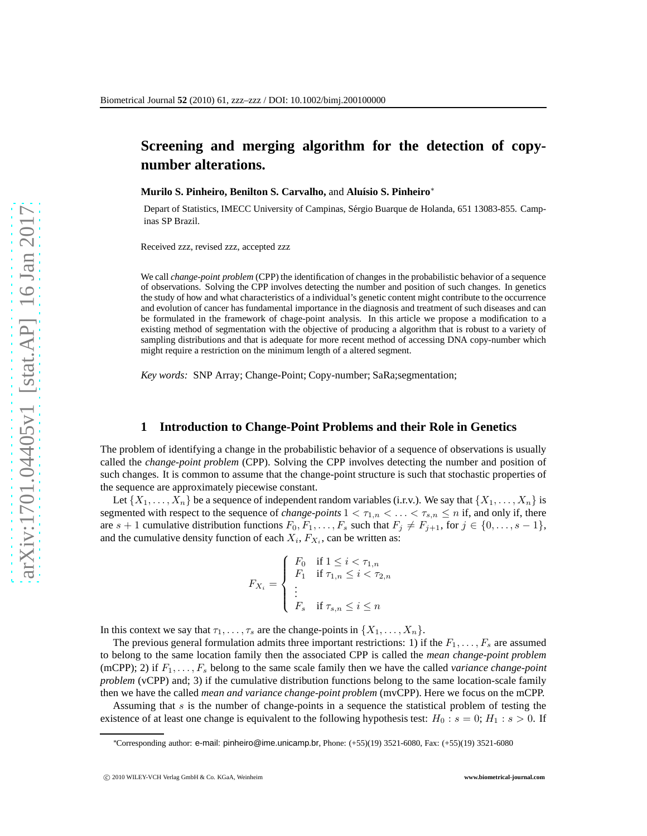# **Screening and merging algorithm for the detection of copynumber alterations.**

**Murilo S. Pinheiro, Benilton S. Carvalho, and Aluísio S. Pinheiro<sup>\*</sup>** 

Depart of Statistics, IMECC University of Campinas, Sérgio Buarque de Holanda, 651 13083-855. Campinas SP Brazil.

Received zzz, revised zzz, accepted zzz

We call *change-point problem* (CPP) the identification of changes in the probabilistic behavior of a sequence of observations. Solving the CPP involves detecting the number and position of such changes. In genetics the study of how and what characteristics of a individual's genetic content might contribute to the occurrence and evolution of cancer has fundamental importance in the diagnosis and treatment of such diseases and can be formulated in the framework of chage-point analysis. In this article we propose a modification to a existing method of segmentation with the objective of producing a algorithm that is robust to a variety of sampling distributions and that is adequate for more recent method of accessing DNA copy-number which might require a restriction on the minimum length of a altered segment.

*Key words:* SNP Array; Change-Point; Copy-number; SaRa;segmentation;

### **1 Introduction to Change-Point Problems and their Role in Genetics**

The problem of identifying a change in the probabilistic behavior of a sequence of observations is usually called the *change-point problem* (CPP). Solving the CPP involves detecting the number and position of such changes. It is common to assume that the change-point structure is such that stochastic properties of the sequence are approximately piecewise constant.

Let  $\{X_1, \ldots, X_n\}$  be a sequence of independent random variables (i.r.v.). We say that  $\{X_1, \ldots, X_n\}$  is segmented with respect to the sequence of *change-points*  $1 < \tau_{1,n} < \ldots < \tau_{s,n} \le n$  if, and only if, there are  $s + 1$  cumulative distribution functions  $F_0, F_1, \ldots, F_s$  such that  $F_j \neq F_{j+1}$ , for  $j \in \{0, \ldots, s-1\}$ , and the cumulative density function of each  $X_i$ ,  $F_{X_i}$ , can be written as:

$$
F_{X_i} = \begin{cases} F_0 & \text{if } 1 \leq i < \tau_{1,n} \\ F_1 & \text{if } \tau_{1,n} \leq i < \tau_{2,n} \\ \vdots & \\ F_s & \text{if } \tau_{s,n} \leq i \leq n \end{cases}
$$

In this context we say that  $\tau_1, \ldots, \tau_s$  are the change-points in  $\{X_1, \ldots, X_n\}$ .

The previous general formulation admits three important restrictions: 1) if the  $F_1, \ldots, F_s$  are assumed to belong to the same location family then the associated CPP is called the *mean change-point problem* (mCPP); 2) if  $F_1, \ldots, F_s$  belong to the same scale family then we have the called *variance change-point problem* (vCPP) and; 3) if the cumulative distribution functions belong to the same location-scale family then we have the called *mean and variance change-point problem* (mvCPP). Here we focus on the mCPP.

Assuming that s is the number of change-points in a sequence the statistical problem of testing the existence of at least one change is equivalent to the following hypothesis test:  $H_0$ :  $s = 0$ ;  $H_1$ :  $s > 0$ . If

<sup>∗</sup>Corresponding author: e-mail: pinheiro@ime.unicamp.br, Phone: (+55)(19) 3521-6080, Fax: (+55)(19) 3521-6080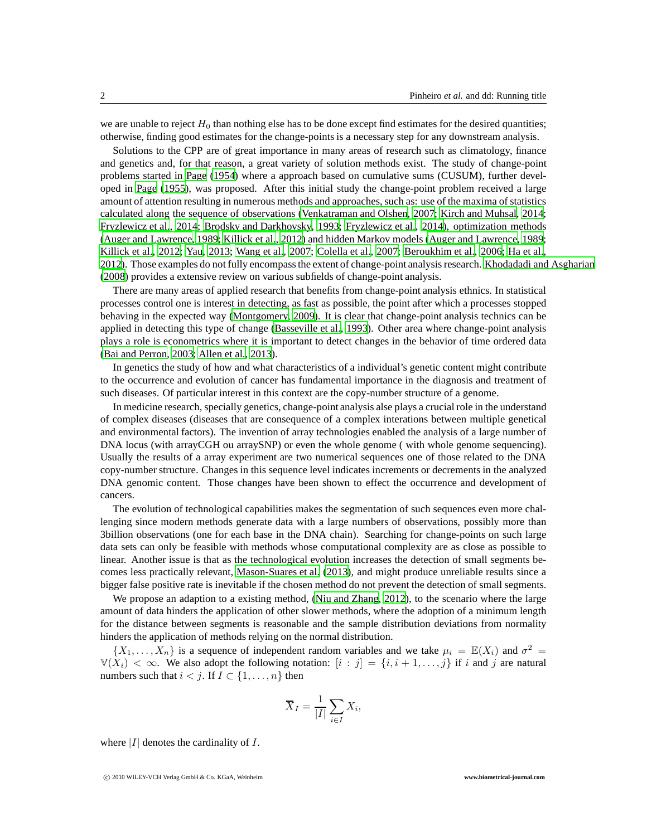we are unable to reject  $H_0$  than nothing else has to be done except find estimates for the desired quantities; otherwise, finding good estimates for the change-points is a necessary step for any downstream analysis.

Solutions to the CPP are of great importance in many areas of research such as climatology, finance and genetics and, for that reason, a great variety of solution methods exist. The study of change-point problems started in [Page \(1954](#page-12-0)) where a approach based on cumulative sums (CUSUM), further developed in [Page \(1955\)](#page-12-1), was proposed. After this initial study the change-point problem received a large amount of attention resulting in numerous methods and approaches, such as: use of the maxima of statistics calculated along the sequence of observations [\(Venkatraman and Olshen, 2007](#page-12-2); [Kirch and Muhsal, 2014;](#page-12-3) [Fryzlewicz et al., 2014;](#page-12-4) [Brodsky and Darkhovsky, 1993;](#page-11-0) [Fryzlewicz et al.](#page-12-4), [2014\)](#page-12-4), optimization methods [\(Auger and Lawrence, 1989;](#page-11-1) [Killick et al.](#page-12-5), [2012\)](#page-12-5) and hidden Markov models [\(Auger and Lawrence, 1989;](#page-11-1) [Killick et al.](#page-12-5), [2012](#page-12-5); [Yau, 2013;](#page-12-6) [Wang et al.](#page-12-7), [2007](#page-12-7); [Colella et](#page-11-2) al., [2007;](#page-11-2) [Beroukhim et al.](#page-11-3), [2006](#page-11-3); [Ha et al.,](#page-12-8) [2012\)](#page-12-8). Those examples do not fully encompass the extent of change-point analysis research. [Khodadadi and Asgharian](#page-12-9) [\(2008](#page-12-9)) provides a extensive review on various subfields of change-point analysis.

There are many areas of applied research that benefits from change-point analysis ethnics. In statistical processes control one is interest in detecting, as fast as possible, the point after which a processes stopped behaving in the expected way [\(Montgomery, 2009\)](#page-12-10). It is clear that change-point analysis technics can be applied in detecting this type of change [\(Basseville et al.,](#page-11-4) [1993\)](#page-11-4). Other area where change-point analysis plays a role is econometrics where it is important to detect changes in the behavior of time ordered data [\(Bai and Perron](#page-11-5), [2003;](#page-11-5) [Allen et al.](#page-11-6), [2013](#page-11-6)).

In genetics the study of how and what characteristics of a individual's genetic content might contribute to the occurrence and evolution of cancer has fundamental importance in the diagnosis and treatment of such diseases. Of particular interest in this context are the copy-number structure of a genome.

In medicine research, specially genetics, change-point analysis alse plays a crucial role in the understand of complex diseases (diseases that are consequence of a complex interations between multiple genetical and environmental factors). The invention of array technologies enabled the analysis of a large number of DNA locus (with arrayCGH ou arraySNP) or even the whole genome ( with whole genome sequencing). Usually the results of a array experiment are two numerical sequences one of those related to the DNA copy-number structure. Changes in this sequence level indicates increments or decrements in the analyzed DNA genomic content. Those changes have been shown to effect the occurrence and development of cancers.

The evolution of technological capabilities makes the segmentation of such sequences even more challenging since modern methods generate data with a large numbers of observations, possibly more than 3billion observations (one for each base in the DNA chain). Searching for change-points on such large data sets can only be feasible with methods whose computational complexity are as close as possible to linear. Another issue is that as the technological evolution increases the detection of small segments becomes less practically relevant, [Mason-Suares et al. \(2013](#page-12-11)), and might produce unreliable results since a bigger false positive rate is inevitable if the chosen method do not prevent the detection of small segments.

We propose an adaption to a existing method, [\(Niu and Zhang, 2012\)](#page-12-12), to the scenario where the large amount of data hinders the application of other slower methods, where the adoption of a minimum length for the distance between segments is reasonable and the sample distribution deviations from normality hinders the application of methods relying on the normal distribution.

 $\{X_1, \ldots, X_n\}$  is a sequence of independent random variables and we take  $\mu_i = \mathbb{E}(X_i)$  and  $\sigma^2 =$  $\mathbb{V}(X_i) < \infty$ . We also adopt the following notation:  $[i : j] = \{i, i+1, \ldots, j\}$  if i and j are natural numbers such that  $i < j$ . If  $I \subset \{1, \ldots, n\}$  then

$$
\overline{X}_I = \frac{1}{|I|} \sum_{i \in I} X_i,
$$

where  $|I|$  denotes the cardinality of  $I$ .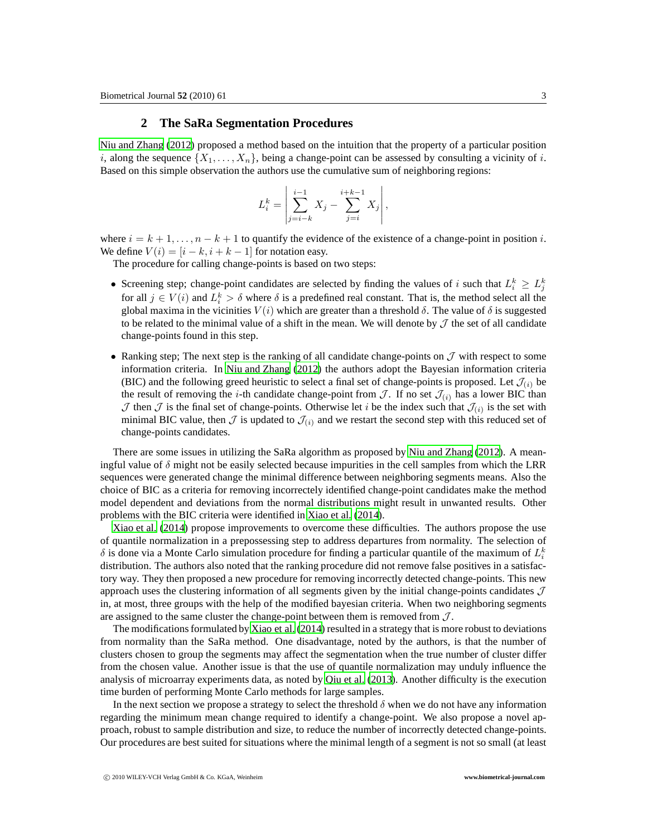# **2 The SaRa Segmentation Procedures**

[Niu and Zhang \(2012\)](#page-12-12) proposed a method based on the intuition that the property of a particular position i, along the sequence  $\{X_1, \ldots, X_n\}$ , being a change-point can be assessed by consulting a vicinity of i. Based on this simple observation the authors use the cumulative sum of neighboring regions:

$$
L_i^k = \left| \sum_{j=i-k}^{i-1} X_j - \sum_{j=i}^{i+k-1} X_j \right|,
$$

where  $i = k + 1, \ldots, n - k + 1$  to quantify the evidence of the existence of a change-point in position i. We define  $V(i) = [i - k, i + k - 1]$  for notation easy.

The procedure for calling change-points is based on two steps:

- Screening step; change-point candidates are selected by finding the values of i such that  $L_i^k \ge L_j^k$ for all  $j \in V(i)$  and  $L_i^k > \delta$  where  $\delta$  is a predefined real constant. That is, the method select all the global maxima in the vicinities  $V(i)$  which are greater than a threshold  $\delta$ . The value of  $\delta$  is suggested to be related to the minimal value of a shift in the mean. We will denote by  $\mathcal J$  the set of all candidate change-points found in this step.
- Ranking step; The next step is the ranking of all candidate change-points on  $\mathcal J$  with respect to some information criteria. In [Niu and Zhang \(2012](#page-12-12)) the authors adopt the Bayesian information criteria (BIC) and the following greed heuristic to select a final set of change-points is proposed. Let  $\mathcal{J}_{(i)}$  be the result of removing the *i*-th candidate change-point from  $\mathcal{J}$ . If no set  $\mathcal{J}_{(i)}$  has a lower BIC than  $J$  then  $J$  is the final set of change-points. Otherwise let i be the index such that  $J_{(i)}$  is the set with minimal BIC value, then  $\mathcal J$  is updated to  $\mathcal J_{(i)}$  and we restart the second step with this reduced set of change-points candidates.

There are some issues in utilizing the SaRa algorithm as proposed by [Niu and Zhang \(2012\)](#page-12-12). A meaningful value of  $\delta$  might not be easily selected because impurities in the cell samples from which the LRR sequences were generated change the minimal difference between neighboring segments means. Also the choice of BIC as a criteria for removing incorrectely identified change-point candidates make the method model dependent and deviations from the normal distributions might result in unwanted results. Other problems with the BIC criteria were identified in [Xiao et al.](#page-12-13) [\(2014\)](#page-12-13).

[Xiao et al.](#page-12-13) [\(2014\)](#page-12-13) propose improvements to overcome these difficulties. The authors propose the use of quantile normalization in a prepossessing step to address departures from normality. The selection of  $\delta$  is done via a Monte Carlo simulation procedure for finding a particular quantile of the maximum of  $L_i^k$ distribution. The authors also noted that the ranking procedure did not remove false positives in a satisfactory way. They then proposed a new procedure for removing incorrectly detected change-points. This new approach uses the clustering information of all segments given by the initial change-points candidates  $J$ in, at most, three groups with the help of the modified bayesian criteria. When two neighboring segments are assigned to the same cluster the change-point between them is removed from  $J$ .

The modifications formulated by [Xiao et al. \(2014\)](#page-12-13) resulted in a strategy that is more robust to deviations from normality than the SaRa method. One disadvantage, noted by the authors, is that the number of clusters chosen to group the segments may affect the segmentation when the true number of cluster differ from the chosen value. Another issue is that the use of quantile normalization may unduly influence the analysis of microarray experiments data, as noted by [Qiu et al. \(2013\)](#page-12-14). Another difficulty is the execution time burden of performing Monte Carlo methods for large samples.

In the next section we propose a strategy to select the threshold  $\delta$  when we do not have any information regarding the minimum mean change required to identify a change-point. We also propose a novel approach, robust to sample distribution and size, to reduce the number of incorrectly detected change-points. Our procedures are best suited for situations where the minimal length of a segment is not so small (at least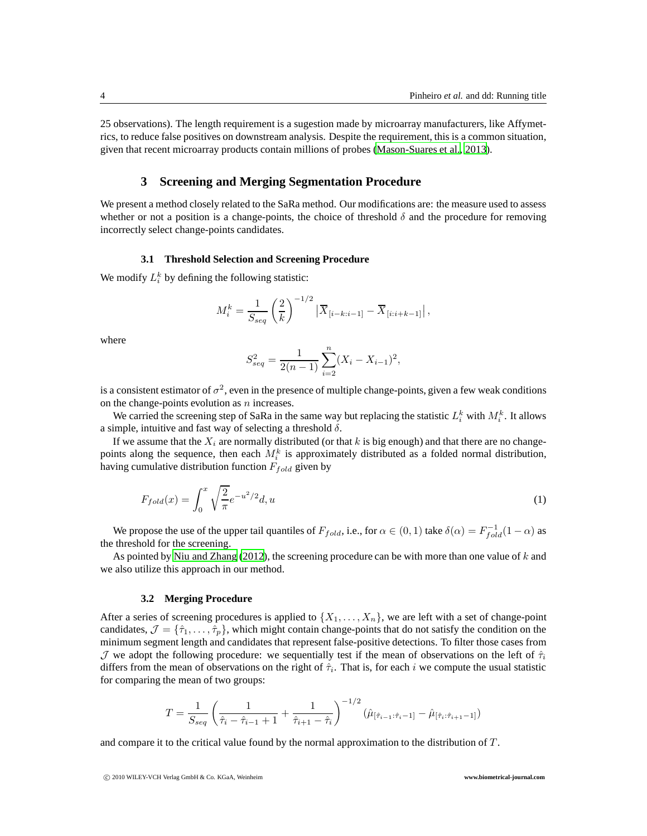25 observations). The length requirement is a sugestion made by microarray manufacturers, like Affymetrics, to reduce false positives on downstream analysis. Despite the requirement, this is a common situation, given that recent microarray products contain millions of probes [\(Mason-Suares et al.](#page-12-11), [2013\)](#page-12-11).

# **3 Screening and Merging Segmentation Procedure**

We present a method closely related to the SaRa method. Our modifications are: the measure used to assess whether or not a position is a change-points, the choice of threshold  $\delta$  and the procedure for removing incorrectly select change-points candidates.

### **3.1 Threshold Selection and Screening Procedure**

We modify  $L_i^k$  by defining the following statistic:

$$
M_i^k = \frac{1}{S_{seq}} \left(\frac{2}{k}\right)^{-1/2} \left| \overline{X}_{[i-k:i-1]} - \overline{X}_{[i:i+k-1]} \right|,
$$

where

$$
S_{seq}^2 = \frac{1}{2(n-1)} \sum_{i=2}^{n} (X_i - X_{i-1})^2,
$$

is a consistent estimator of  $\sigma^2$ , even in the presence of multiple change-points, given a few weak conditions on the change-points evolution as  $n$  increases.

We carried the screening step of SaRa in the same way but replacing the statistic  $L_i^k$  with  $M_i^k$ . It allows a simple, intuitive and fast way of selecting a threshold  $\delta$ .

If we assume that the  $X_i$  are normally distributed (or that k is big enough) and that there are no changepoints along the sequence, then each  $M_i^k$  is approximately distributed as a folded normal distribution, having cumulative distribution function  $F_{fold}$  given by

$$
F_{fold}(x) = \int_0^x \sqrt{\frac{2}{\pi}} e^{-u^2/2} d, u \tag{1}
$$

We propose the use of the upper tail quantiles of  $F_{fold}$ , i.e., for  $\alpha \in (0,1)$  take  $\delta(\alpha) = F_{fold}^{-1}(1-\alpha)$  as the threshold for the screening.

As pointed by [Niu and Zhang](#page-12-12) [\(2012\)](#page-12-12), the screening procedure can be with more than one value of  $k$  and we also utilize this approach in our method.

#### **3.2 Merging Procedure**

After a series of screening procedures is applied to  $\{X_1, \ldots, X_n\}$ , we are left with a set of change-point candidates,  $\mathcal{J} = \{\hat{\tau}_1, \dots, \hat{\tau}_p\}$ , which might contain change-points that do not satisfy the condition on the minimum segment length and candidates that represent false-positive detections. To filter those cases from J we adopt the following procedure: we sequentially test if the mean of observations on the left of  $\hat{\tau}_i$ differs from the mean of observations on the right of  $\hat{\tau}_i$ . That is, for each i we compute the usual statistic for comparing the mean of two groups:

$$
T = \frac{1}{S_{seq}} \left( \frac{1}{\hat{\tau}_i - \hat{\tau}_{i-1} + 1} + \frac{1}{\hat{\tau}_{i+1} - \hat{\tau}_i} \right)^{-1/2} (\hat{\mu}_{[\hat{\tau}_{i-1}:\hat{\tau}_i - 1]} - \hat{\mu}_{[\hat{\tau}_i:\hat{\tau}_{i+1} - 1]})
$$

and compare it to the critical value found by the normal approximation to the distribution of  $T$ .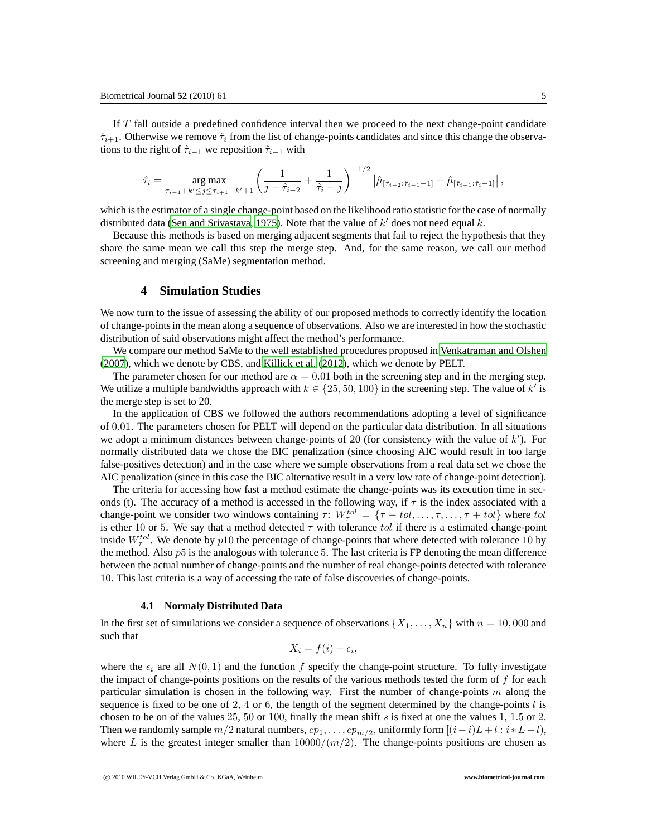If T fall outside a predefined confidence interval then we proceed to the next change-point candidate  $\hat{\tau}_{i+1}$ . Otherwise we remove  $\hat{\tau}_i$  from the list of change-points candidates and since this change the observations to the right of  $\hat{\tau}_{i-1}$  we reposition  $\hat{\tau}_{i-1}$  with

$$
\hat{\tau}_i = \underset{\tau_{i-1} + k' \le j \le \tau_{i+1} - k' + 1}{\arg \max} \left( \frac{1}{j - \hat{\tau}_{i-2}} + \frac{1}{\hat{\tau}_i - j} \right)^{-1/2} \left| \hat{\mu}_{[\hat{\tau}_{i-2} : \hat{\tau}_{i-1} - 1]} - \hat{\mu}_{[\hat{\tau}_{i-1} : \hat{\tau}_i - 1]} \right|,
$$

which is the estimator of a single change-point based on the likelihood ratio statistic for the case of normally distributed data [\(Sen and Srivastava](#page-12-15), [1975](#page-12-15)). Note that the value of  $k'$  does not need equal k.

Because this methods is based on merging adjacent segments that fail to reject the hypothesis that they share the same mean we call this step the merge step. And, for the same reason, we call our method screening and merging (SaMe) segmentation method.

# **4 Simulation Studies**

We now turn to the issue of assessing the ability of our proposed methods to correctly identify the location of change-points in the mean along a sequence of observations. Also we are interested in how the stochastic distribution of said observations might affect the method's performance.

We compare our method SaMe to the well established procedures proposed in [Venkatraman and Olshen](#page-12-2) [\(2007](#page-12-2)), which we denote by CBS, and [Killick et al. \(2012\)](#page-12-5), which we denote by PELT.

The parameter chosen for our method are  $\alpha = 0.01$  both in the screening step and in the merging step. We utilize a multiple bandwidths approach with  $k \in \{25, 50, 100\}$  in the screening step. The value of k' is the merge step is set to 20.

In the application of CBS we followed the authors recommendations adopting a level of significance of 0.01. The parameters chosen for PELT will depend on the particular data distribution. In all situations we adopt a minimum distances between change-points of 20 (for consistency with the value of  $k'$ ). For normally distributed data we chose the BIC penalization (since choosing AIC would result in too large false-positives detection) and in the case where we sample observations from a real data set we chose the AIC penalization (since in this case the BIC alternative result in a very low rate of change-point detection).

The criteria for accessing how fast a method estimate the change-points was its execution time in seconds (t). The accuracy of a method is accessed in the following way, if  $\tau$  is the index associated with a change-point we consider two windows containing  $\tau: W^{tol}_\tau = \{\tau - tol, \ldots, \tau, \ldots, \tau + tol\}$  where tol is ether 10 or 5. We say that a method detected  $\tau$  with tolerance tol if there is a estimated change-point inside  $W_{\tau}^{tol}$ . We denote by p10 the percentage of change-points that where detected with tolerance 10 by the method. Also  $p5$  is the analogous with tolerance 5. The last criteria is FP denoting the mean difference between the actual number of change-points and the number of real change-points detected with tolerance 10. This last criteria is a way of accessing the rate of false discoveries of change-points.

#### **4.1 Normaly Distributed Data**

In the first set of simulations we consider a sequence of observations  $\{X_1, \ldots, X_n\}$  with  $n = 10,000$  and such that

$$
X_i = f(i) + \epsilon_i,
$$

where the  $\epsilon_i$  are all  $N(0, 1)$  and the function f specify the change-point structure. To fully investigate the impact of change-points positions on the results of the various methods tested the form of  $f$  for each particular simulation is chosen in the following way. First the number of change-points  $m$  along the sequence is fixed to be one of 2, 4 or 6, the length of the segment determined by the change-points  $l$  is chosen to be on of the values 25, 50 or 100, finally the mean shift s is fixed at one the values 1, 1.5 or 2. Then we randomly sample  $m/2$  natural numbers,  $cp_1, \ldots, cp_{m/2}$ , uniformly form  $[(i-i)L+l:i*L-l)$ , where L is the greatest integer smaller than  $10000/(m/2)$ . The change-points positions are chosen as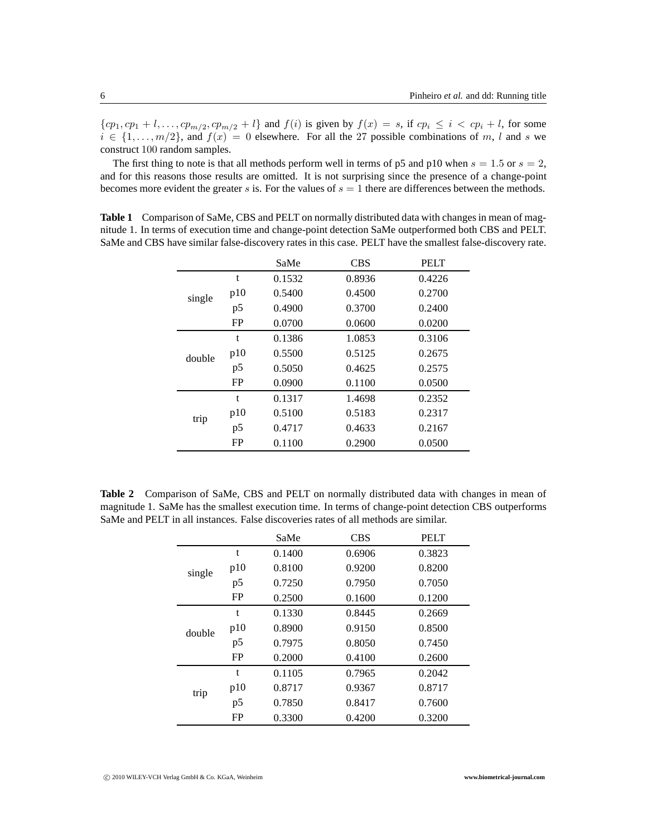${cp_1, cp_1 + l, ..., cp_{m/2}, cp_{m/2} + l}$  and  $f(i)$  is given by  $f(x) = s$ , if  $cp_i \le i < cp_i + l$ , for some  $i \in \{1, \ldots, m/2\}$ , and  $f(x) = 0$  elsewhere. For all the 27 possible combinations of m, l and s we construct 100 random samples.

The first thing to note is that all methods perform well in terms of p5 and p10 when  $s = 1.5$  or  $s = 2$ , and for this reasons those results are omitted. It is not surprising since the presence of a change-point becomes more evident the greater s is. For the values of  $s = 1$  there are differences between the methods.

<span id="page-5-0"></span>SaMe CBS PELT single t 0.1532 0.8936 0.4226 p10 0.5400 0.4500 0.2700 p5 0.4900 0.3700 0.2400 FP 0.0700 0.0600 0.0200 double t 0.1386 1.0853 0.3106 p10 0.5500 0.5125 0.2675 p5 0.5050 0.4625 0.2575 FP 0.0900 0.1100 0.0500 trip t 0.1317 1.4698 0.2352 p10 0.5100 0.5183 0.2317 p5 0.4717 0.4633 0.2167 FP 0.1100 0.2900 0.0500

**Table 1** Comparison of SaMe, CBS and PELT on normally distributed data with changes in mean of magnitude 1. In terms of execution time and change-point detection SaMe outperformed both CBS and PELT. SaMe and CBS have similar false-discovery rates in this case. PELT have the smallest false-discovery rate.

**Table 2** Comparison of SaMe, CBS and PELT on normally distributed data with changes in mean of magnitude 1. SaMe has the smallest execution time. In terms of change-point detection CBS outperforms SaMe and PELT in all instances. False discoveries rates of all methods are similar.

<span id="page-5-1"></span>

|        |           | SaMe   | <b>CBS</b> | <b>PELT</b> |
|--------|-----------|--------|------------|-------------|
|        | t         | 0.1400 | 0.6906     | 0.3823      |
| single | p10       | 0.8100 | 0.9200     | 0.8200      |
|        | p5        | 0.7250 | 0.7950     | 0.7050      |
|        | <b>FP</b> | 0.2500 | 0.1600     | 0.1200      |
|        | t         | 0.1330 | 0.8445     | 0.2669      |
| double | p10       | 0.8900 | 0.9150     | 0.8500      |
|        | p5        | 0.7975 | 0.8050     | 0.7450      |
|        | FP        | 0.2000 | 0.4100     | 0.2600      |
|        | t         | 0.1105 | 0.7965     | 0.2042      |
| trip   | p10       | 0.8717 | 0.9367     | 0.8717      |
|        | p5        | 0.7850 | 0.8417     | 0.7600      |
|        | FP        | 0.3300 | 0.4200     | 0.3200      |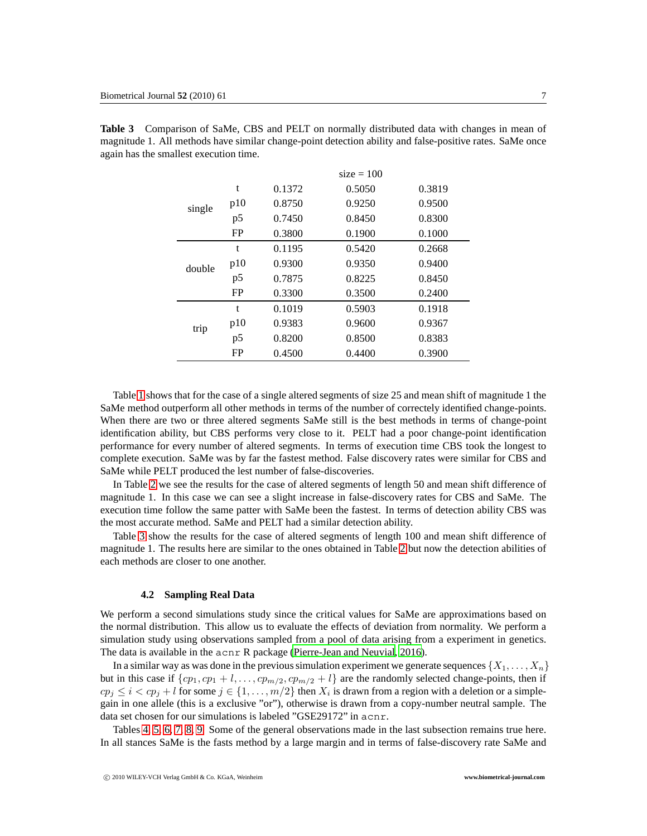<span id="page-6-0"></span>

|        |           | $size = 100$ |        |        |  |  |
|--------|-----------|--------------|--------|--------|--|--|
|        | t         | 0.1372       | 0.5050 | 0.3819 |  |  |
| single | p10       | 0.8750       | 0.9250 | 0.9500 |  |  |
|        | p5        | 0.7450       | 0.8450 | 0.8300 |  |  |
|        | <b>FP</b> | 0.3800       | 0.1900 | 0.1000 |  |  |
|        | t         | 0.1195       | 0.5420 | 0.2668 |  |  |
| double | p10       | 0.9300       | 0.9350 | 0.9400 |  |  |
|        | p5        | 0.7875       | 0.8225 | 0.8450 |  |  |
|        | <b>FP</b> | 0.3300       | 0.3500 | 0.2400 |  |  |
|        | t         | 0.1019       | 0.5903 | 0.1918 |  |  |
| trip   | p10       | 0.9383       | 0.9600 | 0.9367 |  |  |
|        | p5        | 0.8200       | 0.8500 | 0.8383 |  |  |
|        | FP        | 0.4500       | 0.4400 | 0.3900 |  |  |

**Table 3** Comparison of SaMe, CBS and PELT on normally distributed data with changes in mean of magnitude 1. All methods have similar change-point detection ability and false-positive rates. SaMe once again has the smallest execution time.

Table [1](#page-5-0) shows that for the case of a single altered segments of size 25 and mean shift of magnitude 1 the SaMe method outperform all other methods in terms of the number of correctely identified change-points. When there are two or three altered segments SaMe still is the best methods in terms of change-point identification ability, but CBS performs very close to it. PELT had a poor change-point identification performance for every number of altered segments. In terms of execution time CBS took the longest to complete execution. SaMe was by far the fastest method. False discovery rates were similar for CBS and SaMe while PELT produced the lest number of false-discoveries.

In Table [2](#page-5-1) we see the results for the case of altered segments of length 50 and mean shift difference of magnitude 1. In this case we can see a slight increase in false-discovery rates for CBS and SaMe. The execution time follow the same patter with SaMe been the fastest. In terms of detection ability CBS was the most accurate method. SaMe and PELT had a similar detection ability.

Table [3](#page-6-0) show the results for the case of altered segments of length 100 and mean shift difference of magnitude 1. The results here are similar to the ones obtained in Table [2](#page-5-1) but now the detection abilities of each methods are closer to one another.

#### **4.2 Sampling Real Data**

We perform a second simulations study since the critical values for SaMe are approximations based on the normal distribution. This allow us to evaluate the effects of deviation from normality. We perform a simulation study using observations sampled from a pool of data arising from a experiment in genetics. The data is available in the acnr R package [\(Pierre-Jean and Neuvial, 2016\)](#page-12-16).

In a similar way as was done in the previous simulation experiment we generate sequences  $\{X_1, \ldots, X_n\}$ but in this case if  $\{cp_1, cp_1 + l, \ldots, cp_{m/2}, cp_{m/2} + l\}$  are the randomly selected change-points, then if  $cp_j \leq i < cp_j + l$  for some  $j \in \{1, \ldots, m/2\}$  then  $X_i$  is drawn from a region with a deletion or a simplegain in one allele (this is a exclusive "or"), otherwise is drawn from a copy-number neutral sample. The data set chosen for our simulations is labeled "GSE29172" in acnr.

Tables [4,](#page-7-0) [5,](#page-7-1) [6,](#page-8-0) [7,](#page-8-1) [8,](#page-9-0) [9.](#page-9-1) Some of the general observations made in the last subsection remains true here. In all stances SaMe is the fasts method by a large margin and in terms of false-discovery rate SaMe and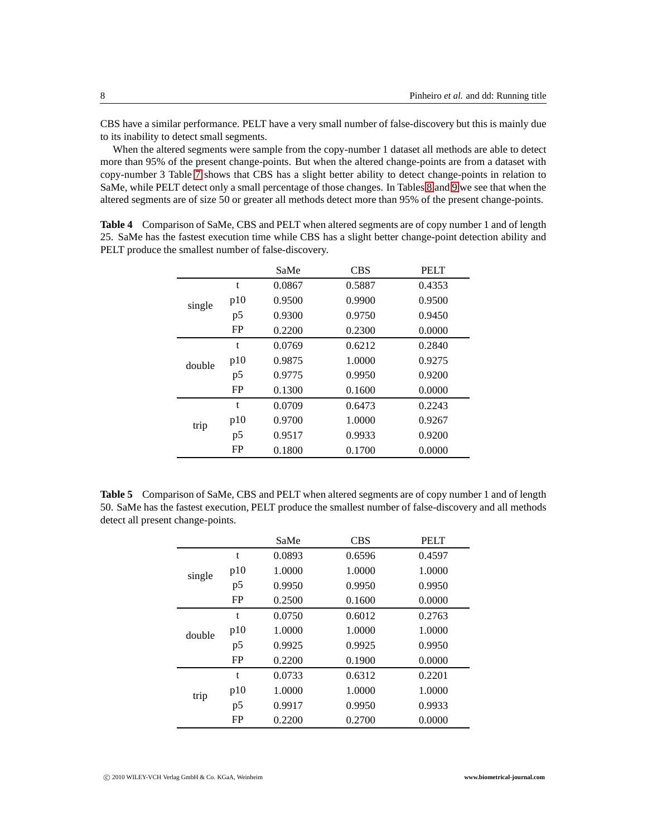CBS have a similar performance. PELT have a very small number of false-discovery but this is mainly due to its inability to detect small segments.

When the altered segments were sample from the copy-number 1 dataset all methods are able to detect more than 95% of the present change-points. But when the altered change-points are from a dataset with copy-number 3 Table [7](#page-8-1) shows that CBS has a slight better ability to detect change-points in relation to SaMe, while PELT detect only a small percentage of those changes. In Tables [8](#page-9-0) and [9](#page-9-1) we see that when the altered segments are of size 50 or greater all methods detect more than 95% of the present change-points.

|        |     | SaMe   | <b>CBS</b> | <b>PELT</b> |
|--------|-----|--------|------------|-------------|
|        | t   | 0.0867 | 0.5887     | 0.4353      |
| single | p10 | 0.9500 | 0.9900     | 0.9500      |
|        | p5  | 0.9300 | 0.9750     | 0.9450      |
|        | FP  | 0.2200 | 0.2300     | 0.0000      |
|        | t   | 0.0769 | 0.6212     | 0.2840      |
| double | p10 | 0.9875 | 1.0000     | 0.9275      |
|        | p5  | 0.9775 | 0.9950     | 0.9200      |
|        | FP  | 0.1300 | 0.1600     | 0.0000      |
|        | t   | 0.0709 | 0.6473     | 0.2243      |
| trip   | p10 | 0.9700 | 1.0000     | 0.9267      |
|        | p5  | 0.9517 | 0.9933     | 0.9200      |
|        | FP  | 0.1800 | 0.1700     | 0.0000      |

<span id="page-7-0"></span>**Table 4** Comparison of SaMe, CBS and PELT when altered segments are of copy number 1 and of length 25. SaMe has the fastest execution time while CBS has a slight better change-point detection ability and PELT produce the smallest number of false-discovery.

<span id="page-7-1"></span>**Table 5** Comparison of SaMe, CBS and PELT when altered segments are of copy number 1 and of length 50. SaMe has the fastest execution, PELT produce the smallest number of false-discovery and all methods detect all present change-points.

|        |           | SaMe   | <b>CBS</b> | <b>PELT</b> |
|--------|-----------|--------|------------|-------------|
|        | t         | 0.0893 | 0.6596     | 0.4597      |
| single | p10       | 1.0000 | 1.0000     | 1.0000      |
|        | p5        | 0.9950 | 0.9950     | 0.9950      |
|        | FP        | 0.2500 | 0.1600     | 0.0000      |
|        | t         | 0.0750 | 0.6012     | 0.2763      |
| double | p10       | 1.0000 | 1.0000     | 1.0000      |
|        | p5        | 0.9925 | 0.9925     | 0.9950      |
|        | <b>FP</b> | 0.2200 | 0.1900     | 0.0000      |
|        | t         | 0.0733 | 0.6312     | 0.2201      |
| trip   | p10       | 1.0000 | 1.0000     | 1.0000      |
|        | p5        | 0.9917 | 0.9950     | 0.9933      |
|        | FP        | 0.2200 | 0.2700     | 0.0000      |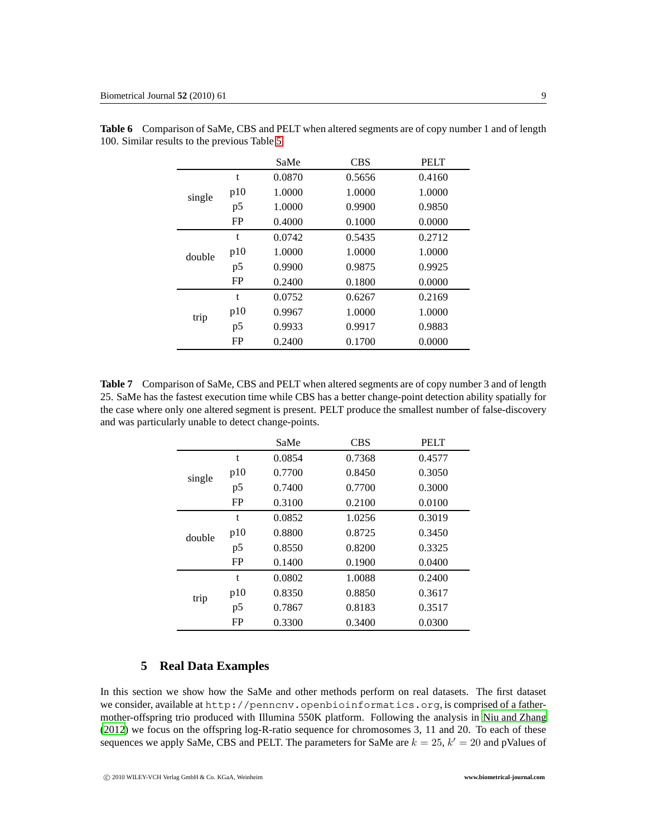<span id="page-8-0"></span>

|        |           | SaMe   | <b>CBS</b> | <b>PELT</b> |
|--------|-----------|--------|------------|-------------|
|        | t         | 0.0870 | 0.5656     | 0.4160      |
| single | p10       | 1.0000 | 1.0000     | 1.0000      |
|        | p5        | 1.0000 | 0.9900     | 0.9850      |
|        | FP        | 0.4000 | 0.1000     | 0.0000      |
|        | t         | 0.0742 | 0.5435     | 0.2712      |
| double | p10       | 1.0000 | 1.0000     | 1.0000      |
|        | p5        | 0.9900 | 0.9875     | 0.9925      |
|        | FP        | 0.2400 | 0.1800     | 0.0000      |
|        | t         | 0.0752 | 0.6267     | 0.2169      |
| trip   | p10       | 0.9967 | 1.0000     | 1.0000      |
|        | p5        | 0.9933 | 0.9917     | 0.9883      |
|        | <b>FP</b> | 0.2400 | 0.1700     | 0.0000      |

**Table 6** Comparison of SaMe, CBS and PELT when altered segments are of copy number 1 and of length 100. Similar results to the previous Table [5.](#page-7-1)

<span id="page-8-1"></span>**Table 7** Comparison of SaMe, CBS and PELT when altered segments are of copy number 3 and of length 25. SaMe has the fastest execution time while CBS has a better change-point detection ability spatially for the case where only one altered segment is present. PELT produce the smallest number of false-discovery and was particularly unable to detect change-points.

|        |     | SaMe   | <b>CBS</b> | <b>PELT</b> |
|--------|-----|--------|------------|-------------|
|        | t   | 0.0854 | 0.7368     | 0.4577      |
| single | p10 | 0.7700 | 0.8450     | 0.3050      |
|        | p5  | 0.7400 | 0.7700     | 0.3000      |
|        | FP  | 0.3100 | 0.2100     | 0.0100      |
|        | t   | 0.0852 | 1.0256     | 0.3019      |
| double | p10 | 0.8800 | 0.8725     | 0.3450      |
|        | p5  | 0.8550 | 0.8200     | 0.3325      |
|        | FP  | 0.1400 | 0.1900     | 0.0400      |
|        | t   | 0.0802 | 1.0088     | 0.2400      |
| trip   | p10 | 0.8350 | 0.8850     | 0.3617      |
|        | p5  | 0.7867 | 0.8183     | 0.3517      |
|        | FP  | 0.3300 | 0.3400     | 0.0300      |

# **5 Real Data Examples**

In this section we show how the SaMe and other methods perform on real datasets. The first dataset we consider, available at http://penncnv.openbioinformatics.org, is comprised of a fathermother-offspring trio produced with Illumina 550K platform. Following the analysis in [Niu and Zhang](#page-12-12) [\(2012](#page-12-12)) we focus on the offspring log-R-ratio sequence for chromosomes 3, 11 and 20. To each of these sequences we apply SaMe, CBS and PELT. The parameters for SaMe are  $k = 25$ ,  $k' = 20$  and pValues of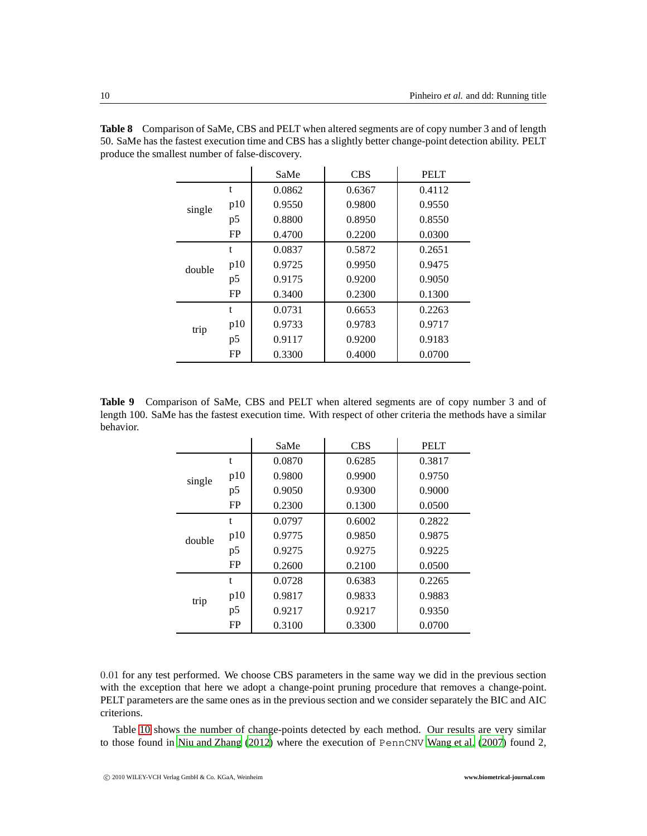|        |     | SaMe   | <b>CBS</b> | <b>PELT</b> |
|--------|-----|--------|------------|-------------|
|        | t   | 0.0862 | 0.6367     | 0.4112      |
| single | p10 | 0.9550 | 0.9800     | 0.9550      |
|        | p5  | 0.8800 | 0.8950     | 0.8550      |
|        | FP  | 0.4700 | 0.2200     | 0.0300      |
|        | t   | 0.0837 | 0.5872     | 0.2651      |
| double | p10 | 0.9725 | 0.9950     | 0.9475      |
|        | p5  | 0.9175 | 0.9200     | 0.9050      |
|        | FP  | 0.3400 | 0.2300     | 0.1300      |
|        | t   | 0.0731 | 0.6653     | 0.2263      |
| trip   | p10 | 0.9733 | 0.9783     | 0.9717      |
|        | p5  | 0.9117 | 0.9200     | 0.9183      |
|        | FP  | 0.3300 | 0.4000     | 0.0700      |

<span id="page-9-0"></span>**Table 8** Comparison of SaMe, CBS and PELT when altered segments are of copy number 3 and of length 50. SaMe has the fastest execution time and CBS has a slightly better change-point detection ability. PELT produce the smallest number of false-discovery.

**Table 9** Comparison of SaMe, CBS and PELT when altered segments are of copy number 3 and of length 100. SaMe has the fastest execution time. With respect of other criteria the methods have a similar behavior.

<span id="page-9-1"></span>

|        |     | SaMe   | <b>CBS</b> | <b>PELT</b> |
|--------|-----|--------|------------|-------------|
|        | t   | 0.0870 | 0.6285     | 0.3817      |
| single | p10 | 0.9800 | 0.9900     | 0.9750      |
|        | p5  | 0.9050 | 0.9300     | 0.9000      |
|        | FP  | 0.2300 | 0.1300     | 0.0500      |
|        | t   | 0.0797 | 0.6002     | 0.2822      |
| double | p10 | 0.9775 | 0.9850     | 0.9875      |
|        | p5  | 0.9275 | 0.9275     | 0.9225      |
|        | FP  | 0.2600 | 0.2100     | 0.0500      |
|        | t   | 0.0728 | 0.6383     | 0.2265      |
| trip   | p10 | 0.9817 | 0.9833     | 0.9883      |
|        | p5  | 0.9217 | 0.9217     | 0.9350      |
|        | FP  | 0.3100 | 0.3300     | 0.0700      |

0.01 for any test performed. We choose CBS parameters in the same way we did in the previous section with the exception that here we adopt a change-point pruning procedure that removes a change-point. PELT parameters are the same ones as in the previous section and we consider separately the BIC and AIC criterions.

Table [10](#page-10-0) shows the number of change-points detected by each method. Our results are very similar to those found in [Niu and Zhang \(2012](#page-12-12)) where the execution of PennCNV [Wang et al. \(2007](#page-12-7)) found 2,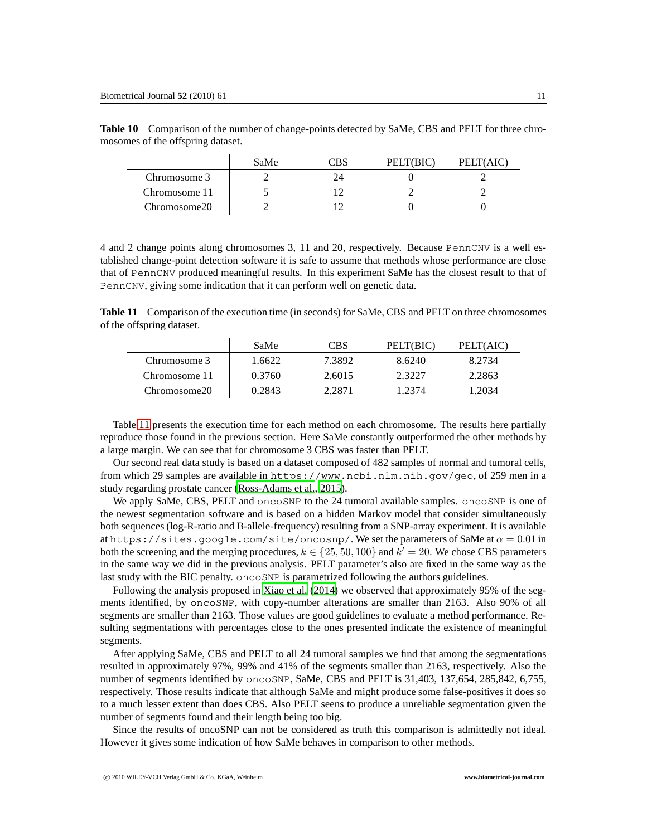<span id="page-10-0"></span>

|               | SaMe | PELT(BIC) | PELT(AIC) |
|---------------|------|-----------|-----------|
| Chromosome 3  |      |           |           |
| Chromosome 11 |      |           |           |
| Chromosome20  |      |           |           |

**Table 10** Comparison of the number of change-points detected by SaMe, CBS and PELT for three chromosomes of the offspring dataset.

4 and 2 change points along chromosomes 3, 11 and 20, respectively. Because PennCNV is a well established change-point detection software it is safe to assume that methods whose performance are close that of PennCNV produced meaningful results. In this experiment SaMe has the closest result to that of PennCNV, giving some indication that it can perform well on genetic data.

**Table 11** Comparison of the execution time (in seconds) for SaMe, CBS and PELT on three chromosomes of the offspring dataset.

<span id="page-10-1"></span>

|               | SaMe   | <b>CBS</b> | PELT(BIC) | PELT(AIC) |
|---------------|--------|------------|-----------|-----------|
| Chromosome 3  | 1.6622 | 7.3892     | 8.6240    | 8.2734    |
| Chromosome 11 | 0.3760 | 2.6015     | 2.3227    | 2.2863    |
| Chromosome20  | 0.2843 | 2.2871     | 1.2374    | 1.2034    |

Table [11](#page-10-1) presents the execution time for each method on each chromosome. The results here partially reproduce those found in the previous section. Here SaMe constantly outperformed the other methods by a large margin. We can see that for chromosome 3 CBS was faster than PELT.

Our second real data study is based on a dataset composed of 482 samples of normal and tumoral cells, from which 29 samples are available in https://www.ncbi.nlm.nih.gov/geo, of 259 men in a study regarding prostate cancer [\(Ross-Adams et al.](#page-12-17), [2015](#page-12-17)).

We apply SaMe, CBS, PELT and oncoSNP to the 24 tumoral available samples. oncoSNP is one of the newest segmentation software and is based on a hidden Markov model that consider simultaneously both sequences (log-R-ratio and B-allele-frequency) resulting from a SNP-array experiment. It is available at https://sites.google.com/site/oncosnp/. We set the parameters of SaMe at  $\alpha = 0.01$  in both the screening and the merging procedures,  $k \in \{25, 50, 100\}$  and  $k' = 20$ . We chose CBS parameters in the same way we did in the previous analysis. PELT parameter's also are fixed in the same way as the last study with the BIC penalty. oncoSNP is parametrized following the authors guidelines.

Following the analysis proposed in [Xiao et al. \(2014\)](#page-12-13) we observed that approximately 95% of the segments identified, by oncoSNP, with copy-number alterations are smaller than 2163. Also 90% of all segments are smaller than 2163. Those values are good guidelines to evaluate a method performance. Resulting segmentations with percentages close to the ones presented indicate the existence of meaningful segments.

After applying SaMe, CBS and PELT to all 24 tumoral samples we find that among the segmentations resulted in approximately 97%, 99% and 41% of the segments smaller than 2163, respectively. Also the number of segments identified by oncoSNP, SaMe, CBS and PELT is 31,403, 137,654, 285,842, 6,755, respectively. Those results indicate that although SaMe and might produce some false-positives it does so to a much lesser extent than does CBS. Also PELT seens to produce a unreliable segmentation given the number of segments found and their length being too big.

Since the results of oncoSNP can not be considered as truth this comparison is admittedly not ideal. However it gives some indication of how SaMe behaves in comparison to other methods.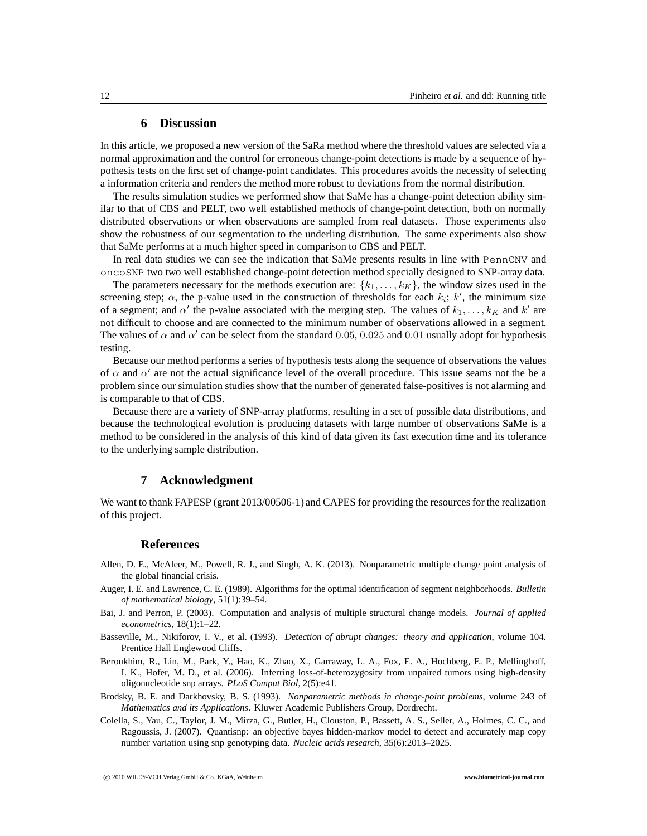# **6 Discussion**

In this article, we proposed a new version of the SaRa method where the threshold values are selected via a normal approximation and the control for erroneous change-point detections is made by a sequence of hypothesis tests on the first set of change-point candidates. This procedures avoids the necessity of selecting a information criteria and renders the method more robust to deviations from the normal distribution.

The results simulation studies we performed show that SaMe has a change-point detection ability similar to that of CBS and PELT, two well established methods of change-point detection, both on normally distributed observations or when observations are sampled from real datasets. Those experiments also show the robustness of our segmentation to the underling distribution. The same experiments also show that SaMe performs at a much higher speed in comparison to CBS and PELT.

In real data studies we can see the indication that SaMe presents results in line with PennCNV and oncoSNP two two well established change-point detection method specially designed to SNP-array data.

The parameters necessary for the methods execution are:  $\{k_1, \ldots, k_K\}$ , the window sizes used in the screening step;  $\alpha$ , the p-value used in the construction of thresholds for each  $k_i$ ; k', the minimum size of a segment; and  $\alpha'$  the p-value associated with the merging step. The values of  $k_1, \ldots, k_K$  and  $k'$  are not difficult to choose and are connected to the minimum number of observations allowed in a segment. The values of  $\alpha$  and  $\alpha'$  can be select from the standard 0.05, 0.025 and 0.01 usually adopt for hypothesis testing.

Because our method performs a series of hypothesis tests along the sequence of observations the values of  $\alpha$  and  $\alpha'$  are not the actual significance level of the overall procedure. This issue seams not the be a problem since our simulation studies show that the number of generated false-positives is not alarming and is comparable to that of CBS.

Because there are a variety of SNP-array platforms, resulting in a set of possible data distributions, and because the technological evolution is producing datasets with large number of observations SaMe is a method to be considered in the analysis of this kind of data given its fast execution time and its tolerance to the underlying sample distribution.

# **7 Acknowledgment**

We want to thank FAPESP (grant 2013/00506-1) and CAPES for providing the resources for the realization of this project.

# **References**

- <span id="page-11-6"></span>Allen, D. E., McAleer, M., Powell, R. J., and Singh, A. K. (2013). Nonparametric multiple change point analysis of the global financial crisis.
- <span id="page-11-1"></span>Auger, I. E. and Lawrence, C. E. (1989). Algorithms for the optimal identification of segment neighborhoods. *Bulletin of mathematical biology*, 51(1):39–54.
- <span id="page-11-5"></span>Bai, J. and Perron, P. (2003). Computation and analysis of multiple structural change models. *Journal of applied econometrics*, 18(1):1–22.
- <span id="page-11-4"></span>Basseville, M., Nikiforov, I. V., et al. (1993). *Detection of abrupt changes: theory and application*, volume 104. Prentice Hall Englewood Cliffs.
- <span id="page-11-3"></span>Beroukhim, R., Lin, M., Park, Y., Hao, K., Zhao, X., Garraway, L. A., Fox, E. A., Hochberg, E. P., Mellinghoff, I. K., Hofer, M. D., et al. (2006). Inferring loss-of-heterozygosity from unpaired tumors using high-density oligonucleotide snp arrays. *PLoS Comput Biol*, 2(5):e41.
- <span id="page-11-0"></span>Brodsky, B. E. and Darkhovsky, B. S. (1993). *Nonparametric methods in change-point problems*, volume 243 of *Mathematics and its Applications*. Kluwer Academic Publishers Group, Dordrecht.
- <span id="page-11-2"></span>Colella, S., Yau, C., Taylor, J. M., Mirza, G., Butler, H., Clouston, P., Bassett, A. S., Seller, A., Holmes, C. C., and Ragoussis, J. (2007). Quantisnp: an objective bayes hidden-markov model to detect and accurately map copy number variation using snp genotyping data. *Nucleic acids research*, 35(6):2013–2025.